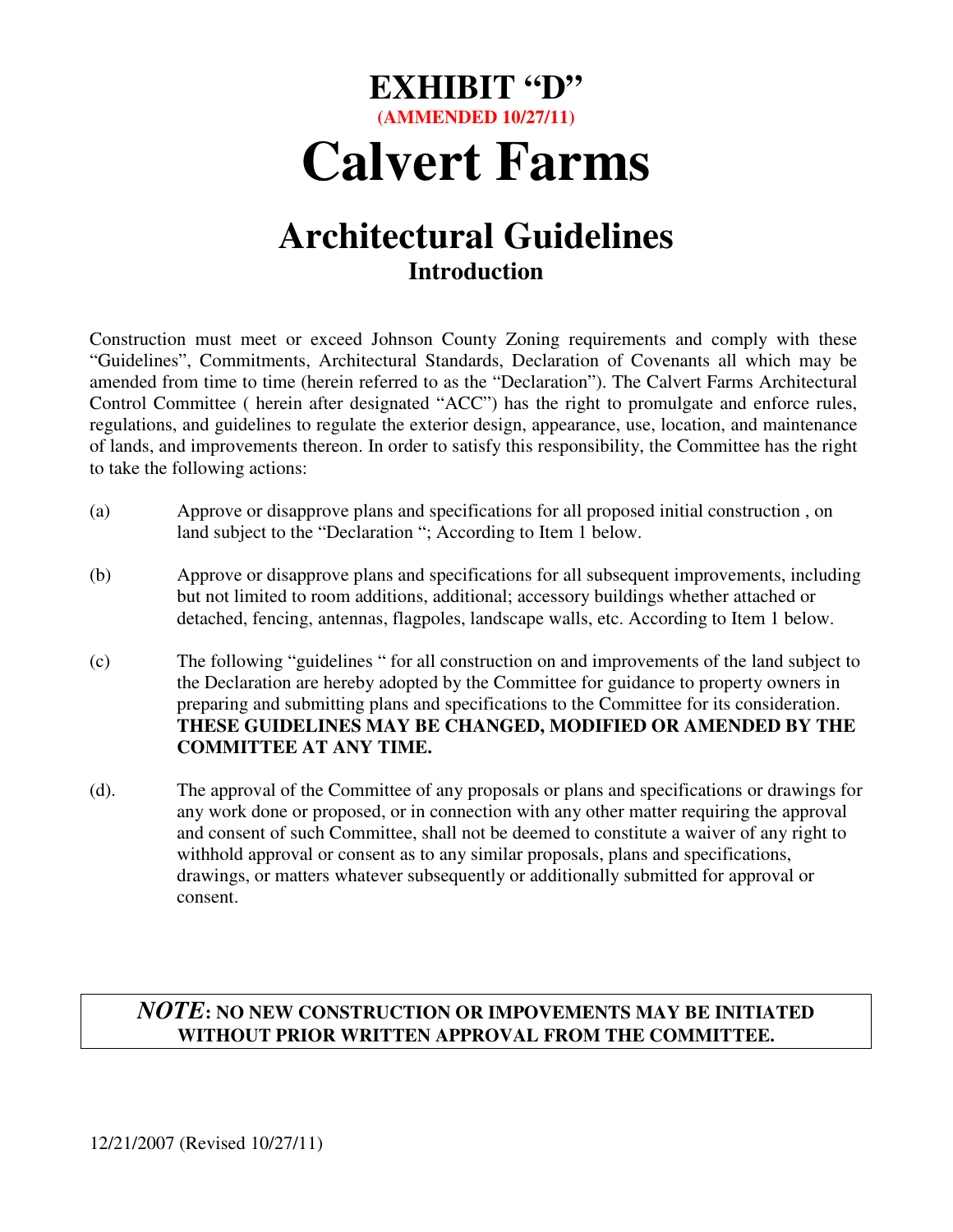# **EXHIBIT "D" (AMMENDED 10/27/11) Calvert Farms**

## **Architectural Guidelines Introduction**

Construction must meet or exceed Johnson County Zoning requirements and comply with these "Guidelines", Commitments, Architectural Standards, Declaration of Covenants all which may be amended from time to time (herein referred to as the "Declaration"). The Calvert Farms Architectural Control Committee ( herein after designated "ACC") has the right to promulgate and enforce rules, regulations, and guidelines to regulate the exterior design, appearance, use, location, and maintenance of lands, and improvements thereon. In order to satisfy this responsibility, the Committee has the right to take the following actions:

- (a) Approve or disapprove plans and specifications for all proposed initial construction , on land subject to the "Declaration "; According to Item 1 below.
- (b) Approve or disapprove plans and specifications for all subsequent improvements, including but not limited to room additions, additional; accessory buildings whether attached or detached, fencing, antennas, flagpoles, landscape walls, etc. According to Item 1 below.
- (c) The following "guidelines " for all construction on and improvements of the land subject to the Declaration are hereby adopted by the Committee for guidance to property owners in preparing and submitting plans and specifications to the Committee for its consideration. **THESE GUIDELINES MAY BE CHANGED, MODIFIED OR AMENDED BY THE COMMITTEE AT ANY TIME.**
- (d). The approval of the Committee of any proposals or plans and specifications or drawings for any work done or proposed, or in connection with any other matter requiring the approval and consent of such Committee, shall not be deemed to constitute a waiver of any right to withhold approval or consent as to any similar proposals, plans and specifications, drawings, or matters whatever subsequently or additionally submitted for approval or consent.

#### *NOTE***: NO NEW CONSTRUCTION OR IMPOVEMENTS MAY BE INITIATED WITHOUT PRIOR WRITTEN APPROVAL FROM THE COMMITTEE.**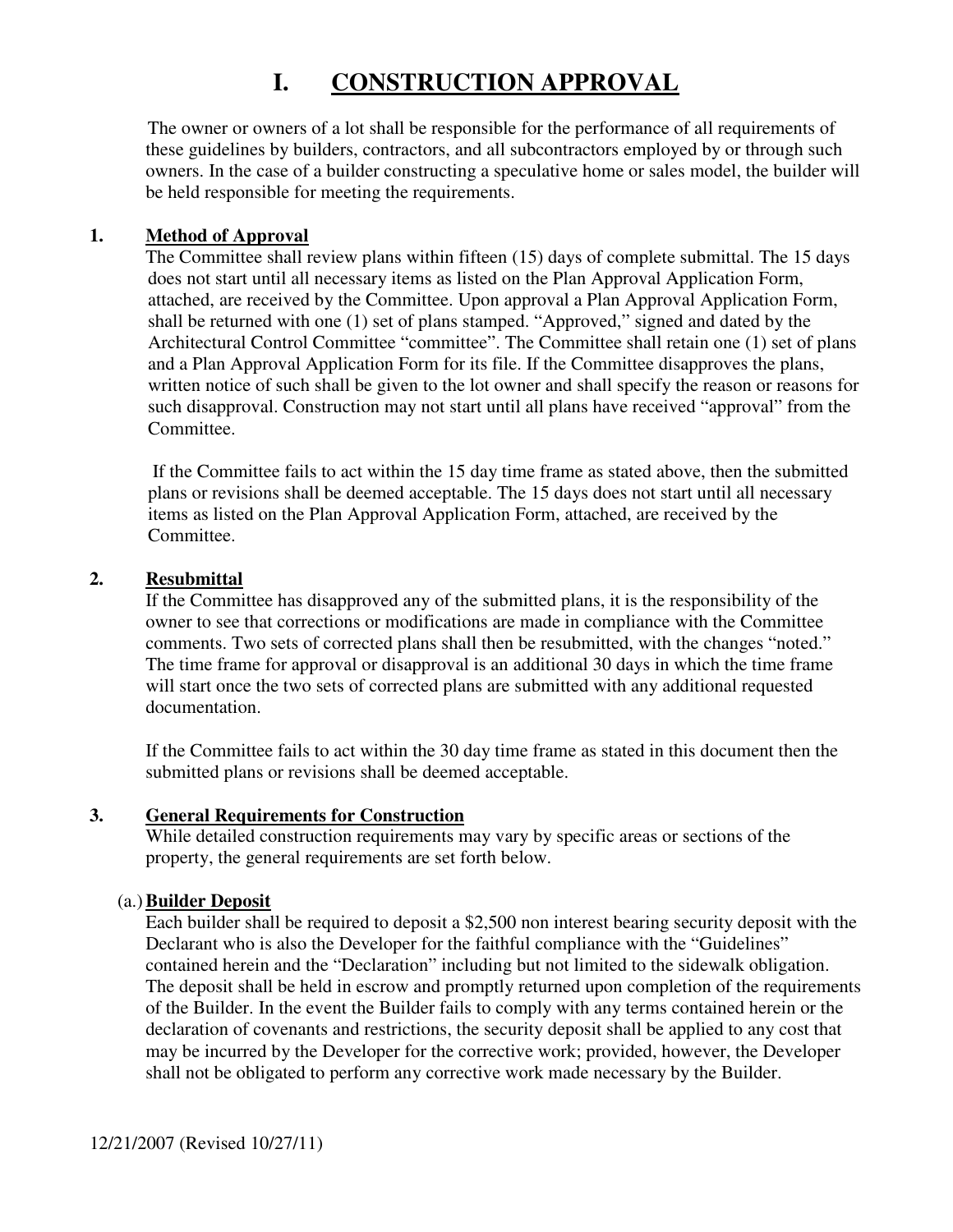## **I. CONSTRUCTION APPROVAL**

The owner or owners of a lot shall be responsible for the performance of all requirements of these guidelines by builders, contractors, and all subcontractors employed by or through such owners. In the case of a builder constructing a speculative home or sales model, the builder will be held responsible for meeting the requirements.

#### **1. Method of Approval**

The Committee shall review plans within fifteen (15) days of complete submittal. The 15 days does not start until all necessary items as listed on the Plan Approval Application Form, attached, are received by the Committee. Upon approval a Plan Approval Application Form, shall be returned with one (1) set of plans stamped. "Approved," signed and dated by the Architectural Control Committee "committee". The Committee shall retain one (1) set of plans and a Plan Approval Application Form for its file. If the Committee disapproves the plans, written notice of such shall be given to the lot owner and shall specify the reason or reasons for such disapproval. Construction may not start until all plans have received "approval" from the Committee.

 If the Committee fails to act within the 15 day time frame as stated above, then the submitted plans or revisions shall be deemed acceptable. The 15 days does not start until all necessary items as listed on the Plan Approval Application Form, attached, are received by the Committee.

#### **2. Resubmittal**

If the Committee has disapproved any of the submitted plans, it is the responsibility of the owner to see that corrections or modifications are made in compliance with the Committee comments. Two sets of corrected plans shall then be resubmitted, with the changes "noted." The time frame for approval or disapproval is an additional 30 days in which the time frame will start once the two sets of corrected plans are submitted with any additional requested documentation.

 If the Committee fails to act within the 30 day time frame as stated in this document then the submitted plans or revisions shall be deemed acceptable.

#### **3. General Requirements for Construction**

While detailed construction requirements may vary by specific areas or sections of the property, the general requirements are set forth below.

#### (a.)**Builder Deposit**

Each builder shall be required to deposit a \$2,500 non interest bearing security deposit with the Declarant who is also the Developer for the faithful compliance with the "Guidelines" contained herein and the "Declaration" including but not limited to the sidewalk obligation. The deposit shall be held in escrow and promptly returned upon completion of the requirements of the Builder. In the event the Builder fails to comply with any terms contained herein or the declaration of covenants and restrictions, the security deposit shall be applied to any cost that may be incurred by the Developer for the corrective work; provided, however, the Developer shall not be obligated to perform any corrective work made necessary by the Builder.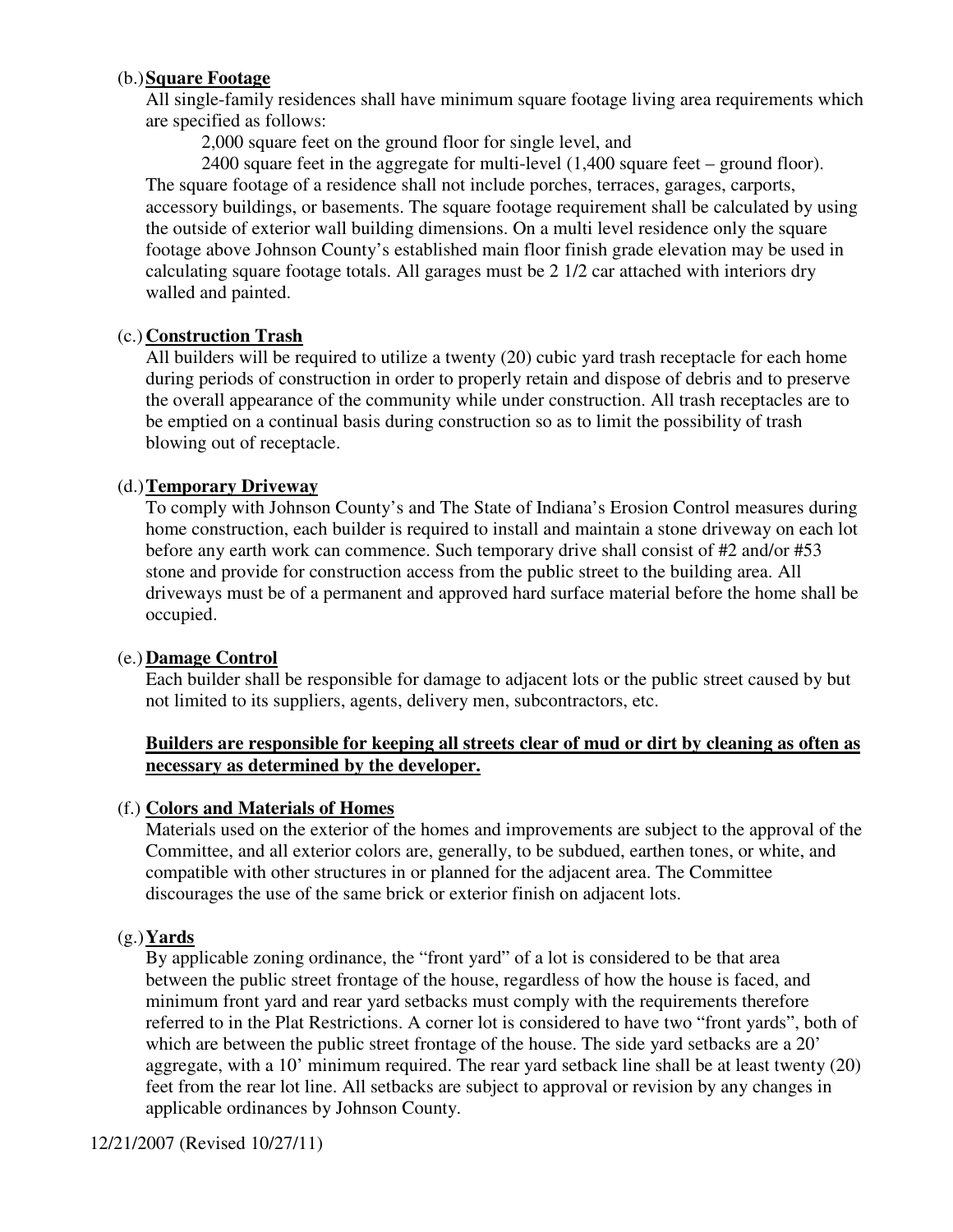#### (b.)**Square Footage**

All single-family residences shall have minimum square footage living area requirements which are specified as follows:

2,000 square feet on the ground floor for single level, and

2400 square feet in the aggregate for multi-level (1,400 square feet – ground floor). The square footage of a residence shall not include porches, terraces, garages, carports, accessory buildings, or basements. The square footage requirement shall be calculated by using the outside of exterior wall building dimensions. On a multi level residence only the square footage above Johnson County's established main floor finish grade elevation may be used in calculating square footage totals. All garages must be 2 1/2 car attached with interiors dry walled and painted.

#### (c.) **Construction Trash**

All builders will be required to utilize a twenty (20) cubic yard trash receptacle for each home during periods of construction in order to properly retain and dispose of debris and to preserve the overall appearance of the community while under construction. All trash receptacles are to be emptied on a continual basis during construction so as to limit the possibility of trash blowing out of receptacle.

#### (d.)**Temporary Driveway**

To comply with Johnson County's and The State of Indiana's Erosion Control measures during home construction, each builder is required to install and maintain a stone driveway on each lot before any earth work can commence. Such temporary drive shall consist of #2 and/or #53 stone and provide for construction access from the public street to the building area. All driveways must be of a permanent and approved hard surface material before the home shall be occupied.

#### (e.) **Damage Control**

Each builder shall be responsible for damage to adjacent lots or the public street caused by but not limited to its suppliers, agents, delivery men, subcontractors, etc.

#### **Builders are responsible for keeping all streets clear of mud or dirt by cleaning as often as necessary as determined by the developer.**

#### (f.) **Colors and Materials of Homes**

Materials used on the exterior of the homes and improvements are subject to the approval of the Committee, and all exterior colors are, generally, to be subdued, earthen tones, or white, and compatible with other structures in or planned for the adjacent area. The Committee discourages the use of the same brick or exterior finish on adjacent lots.

#### (g.)**Yards**

By applicable zoning ordinance, the "front yard" of a lot is considered to be that area between the public street frontage of the house, regardless of how the house is faced, and minimum front yard and rear yard setbacks must comply with the requirements therefore referred to in the Plat Restrictions. A corner lot is considered to have two "front yards", both of which are between the public street frontage of the house. The side yard setbacks are a 20' aggregate, with a 10' minimum required. The rear yard setback line shall be at least twenty (20) feet from the rear lot line. All setbacks are subject to approval or revision by any changes in applicable ordinances by Johnson County.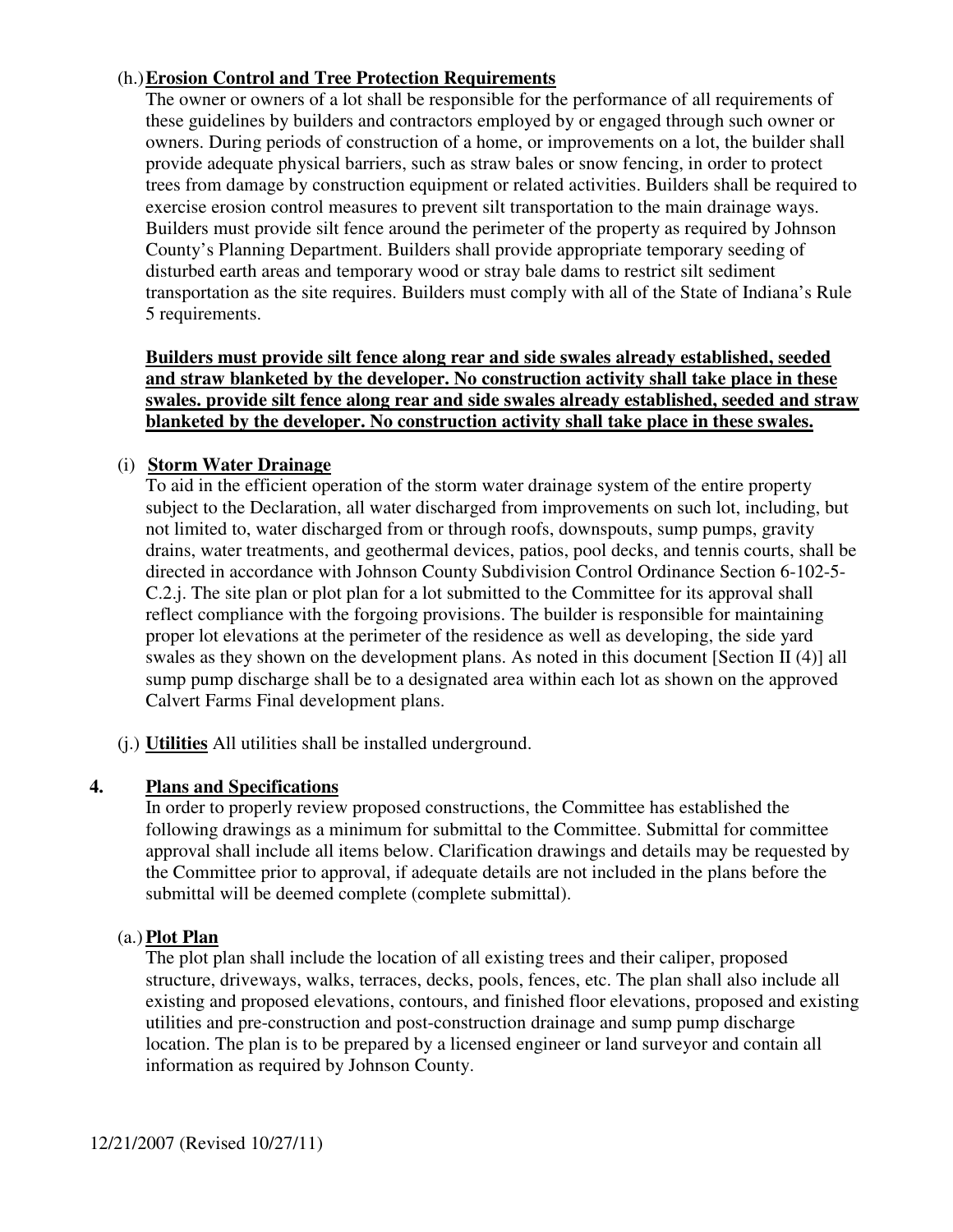#### (h.)**Erosion Control and Tree Protection Requirements**

The owner or owners of a lot shall be responsible for the performance of all requirements of these guidelines by builders and contractors employed by or engaged through such owner or owners. During periods of construction of a home, or improvements on a lot, the builder shall provide adequate physical barriers, such as straw bales or snow fencing, in order to protect trees from damage by construction equipment or related activities. Builders shall be required to exercise erosion control measures to prevent silt transportation to the main drainage ways. Builders must provide silt fence around the perimeter of the property as required by Johnson County's Planning Department. Builders shall provide appropriate temporary seeding of disturbed earth areas and temporary wood or stray bale dams to restrict silt sediment transportation as the site requires. Builders must comply with all of the State of Indiana's Rule 5 requirements.

#### **Builders must provide silt fence along rear and side swales already established, seeded and straw blanketed by the developer. No construction activity shall take place in these swales. provide silt fence along rear and side swales already established, seeded and straw blanketed by the developer. No construction activity shall take place in these swales.**

#### (i) **Storm Water Drainage**

To aid in the efficient operation of the storm water drainage system of the entire property subject to the Declaration, all water discharged from improvements on such lot, including, but not limited to, water discharged from or through roofs, downspouts, sump pumps, gravity drains, water treatments, and geothermal devices, patios, pool decks, and tennis courts, shall be directed in accordance with Johnson County Subdivision Control Ordinance Section 6-102-5- C.2.j. The site plan or plot plan for a lot submitted to the Committee for its approval shall reflect compliance with the forgoing provisions. The builder is responsible for maintaining proper lot elevations at the perimeter of the residence as well as developing, the side yard swales as they shown on the development plans. As noted in this document [Section II (4)] all sump pump discharge shall be to a designated area within each lot as shown on the approved Calvert Farms Final development plans.

(j.) **Utilities** All utilities shall be installed underground.

#### **4. Plans and Specifications**

In order to properly review proposed constructions, the Committee has established the following drawings as a minimum for submittal to the Committee. Submittal for committee approval shall include all items below. Clarification drawings and details may be requested by the Committee prior to approval, if adequate details are not included in the plans before the submittal will be deemed complete (complete submittal).

#### (a.)**Plot Plan**

The plot plan shall include the location of all existing trees and their caliper, proposed structure, driveways, walks, terraces, decks, pools, fences, etc. The plan shall also include all existing and proposed elevations, contours, and finished floor elevations, proposed and existing utilities and pre-construction and post-construction drainage and sump pump discharge location. The plan is to be prepared by a licensed engineer or land surveyor and contain all information as required by Johnson County.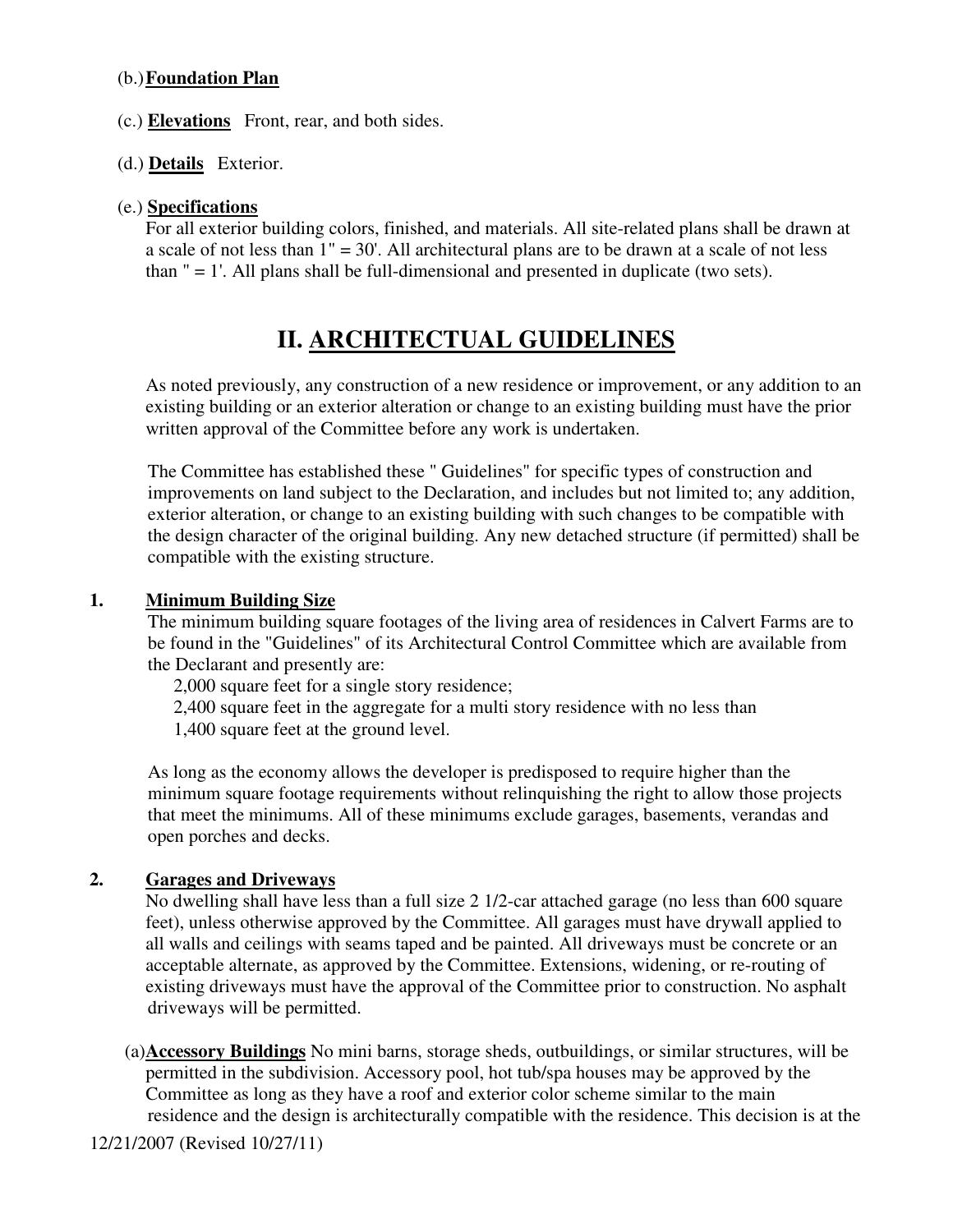#### (b.)**Foundation Plan**

- (c.) **Elevations** Front, rear, and both sides.
- (d.) **Details** Exterior.

#### (e.) **Specifications**

For all exterior building colors, finished, and materials. All site-related plans shall be drawn at a scale of not less than  $1'' = 30'$ . All architectural plans are to be drawn at a scale of not less than  $" = 1'$ . All plans shall be full-dimensional and presented in duplicate (two sets).

## **II. ARCHITECTUAL GUIDELINES**

As noted previously, any construction of a new residence or improvement, or any addition to an existing building or an exterior alteration or change to an existing building must have the prior written approval of the Committee before any work is undertaken.

The Committee has established these " Guidelines" for specific types of construction and improvements on land subject to the Declaration, and includes but not limited to; any addition, exterior alteration, or change to an existing building with such changes to be compatible with the design character of the original building. Any new detached structure (if permitted) shall be compatible with the existing structure.

#### **1. Minimum Building Size**

The minimum building square footages of the living area of residences in Calvert Farms are to be found in the "Guidelines" of its Architectural Control Committee which are available from the Declarant and presently are:

2,000 square feet for a single story residence;

2,400 square feet in the aggregate for a multi story residence with no less than

1,400 square feet at the ground level.

As long as the economy allows the developer is predisposed to require higher than the minimum square footage requirements without relinquishing the right to allow those projects that meet the minimums. All of these minimums exclude garages, basements, verandas and open porches and decks.

#### **2. Garages and Driveways**

No dwelling shall have less than a full size 2 1/2-car attached garage (no less than 600 square feet), unless otherwise approved by the Committee. All garages must have drywall applied to all walls and ceilings with seams taped and be painted. All driveways must be concrete or an acceptable alternate, as approved by the Committee. Extensions, widening, or re-routing of existing driveways must have the approval of the Committee prior to construction. No asphalt driveways will be permitted.

(a) **Accessory Buildings** No mini barns, storage sheds, outbuildings, or similar structures, will be permitted in the subdivision. Accessory pool, hot tub/spa houses may be approved by the Committee as long as they have a roof and exterior color scheme similar to the main residence and the design is architecturally compatible with the residence. This decision is at the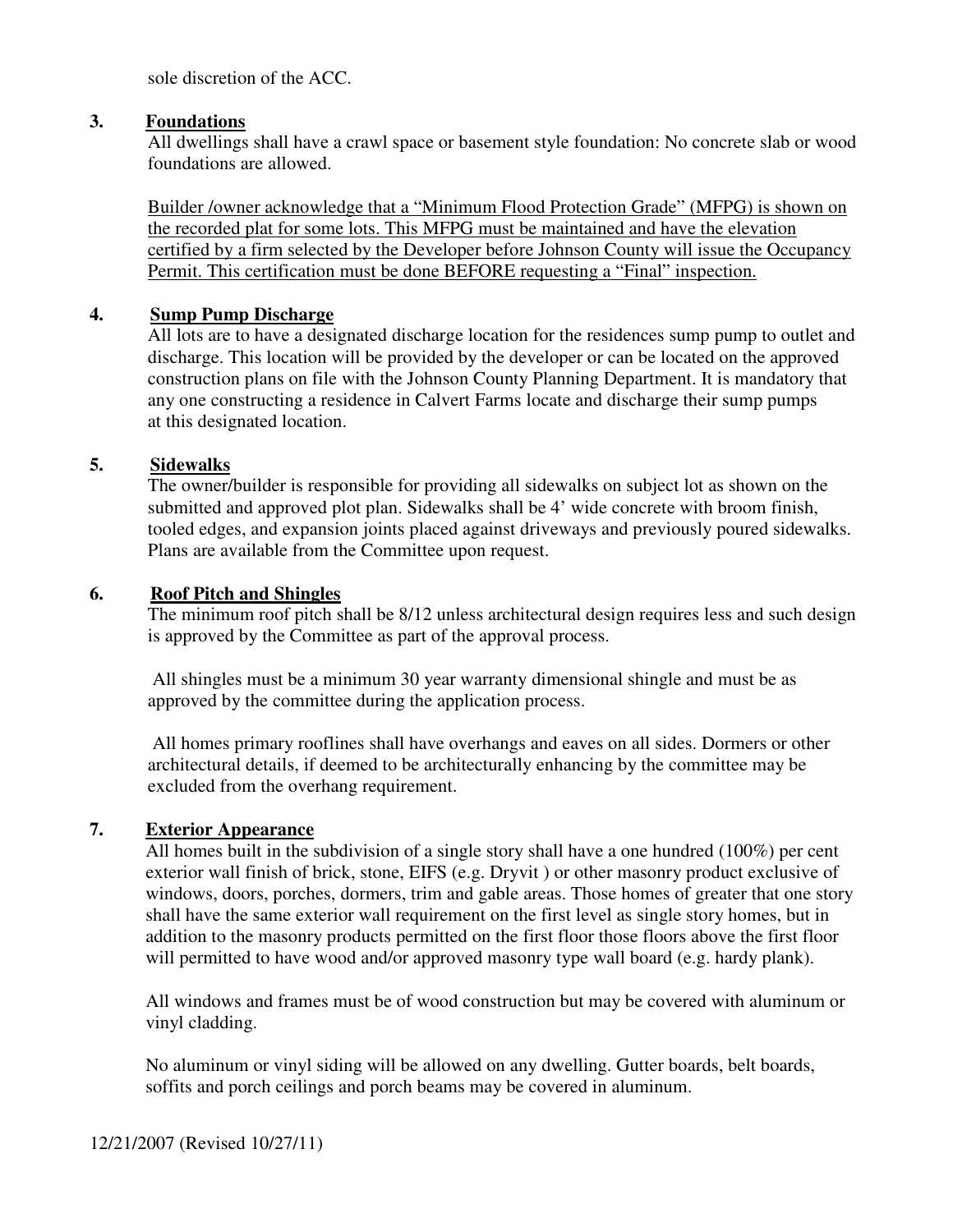sole discretion of the ACC.

#### **3. Foundations**

All dwellings shall have a crawl space or basement style foundation: No concrete slab or wood foundations are allowed.

Builder /owner acknowledge that a "Minimum Flood Protection Grade" (MFPG) is shown on the recorded plat for some lots. This MFPG must be maintained and have the elevation certified by a firm selected by the Developer before Johnson County will issue the Occupancy Permit. This certification must be done BEFORE requesting a "Final" inspection.

#### **4. Sump Pump Discharge**

All lots are to have a designated discharge location for the residences sump pump to outlet and discharge. This location will be provided by the developer or can be located on the approved construction plans on file with the Johnson County Planning Department. It is mandatory that any one constructing a residence in Calvert Farms locate and discharge their sump pumps at this designated location.

#### **5. Sidewalks**

The owner/builder is responsible for providing all sidewalks on subject lot as shown on the submitted and approved plot plan. Sidewalks shall be 4' wide concrete with broom finish, tooled edges, and expansion joints placed against driveways and previously poured sidewalks. Plans are available from the Committee upon request.

#### **6. Roof Pitch and Shingles**

The minimum roof pitch shall be 8/12 unless architectural design requires less and such design is approved by the Committee as part of the approval process.

 All shingles must be a minimum 30 year warranty dimensional shingle and must be as approved by the committee during the application process.

 All homes primary rooflines shall have overhangs and eaves on all sides. Dormers or other architectural details, if deemed to be architecturally enhancing by the committee may be excluded from the overhang requirement.

#### **7. Exterior Appearance**

All homes built in the subdivision of a single story shall have a one hundred (100%) per cent exterior wall finish of brick, stone, EIFS (e.g. Dryvit ) or other masonry product exclusive of windows, doors, porches, dormers, trim and gable areas. Those homes of greater that one story shall have the same exterior wall requirement on the first level as single story homes, but in addition to the masonry products permitted on the first floor those floors above the first floor will permitted to have wood and/or approved masonry type wall board (e.g. hardy plank).

 All windows and frames must be of wood construction but may be covered with aluminum or vinyl cladding.

No aluminum or vinyl siding will be allowed on any dwelling. Gutter boards, belt boards, soffits and porch ceilings and porch beams may be covered in aluminum.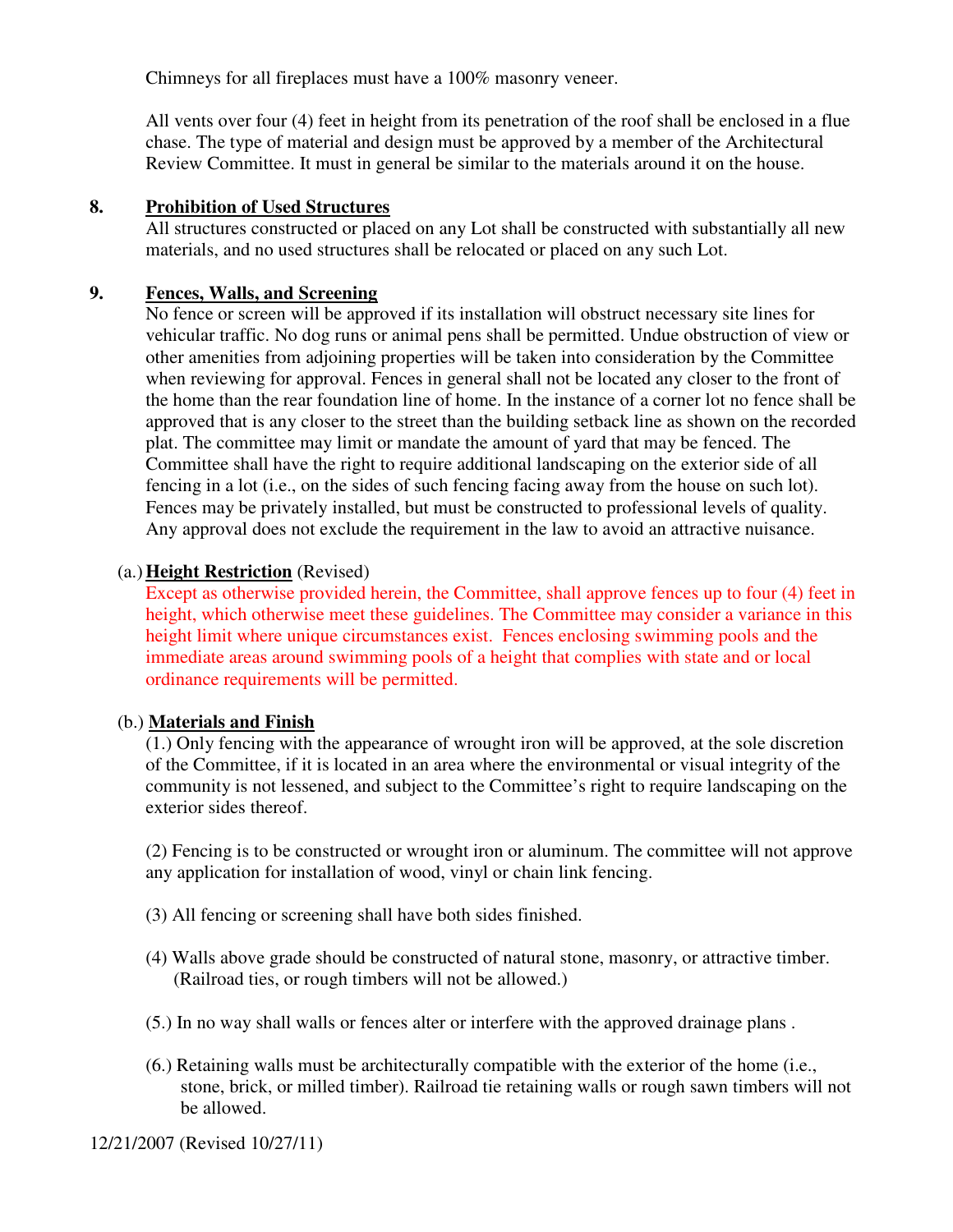Chimneys for all fireplaces must have a 100% masonry veneer.

All vents over four (4) feet in height from its penetration of the roof shall be enclosed in a flue chase. The type of material and design must be approved by a member of the Architectural Review Committee. It must in general be similar to the materials around it on the house.

#### **8. Prohibition of Used Structures**

All structures constructed or placed on any Lot shall be constructed with substantially all new materials, and no used structures shall be relocated or placed on any such Lot.

#### **9. Fences, Walls, and Screening**

No fence or screen will be approved if its installation will obstruct necessary site lines for vehicular traffic. No dog runs or animal pens shall be permitted. Undue obstruction of view or other amenities from adjoining properties will be taken into consideration by the Committee when reviewing for approval. Fences in general shall not be located any closer to the front of the home than the rear foundation line of home. In the instance of a corner lot no fence shall be approved that is any closer to the street than the building setback line as shown on the recorded plat. The committee may limit or mandate the amount of yard that may be fenced. The Committee shall have the right to require additional landscaping on the exterior side of all fencing in a lot (i.e., on the sides of such fencing facing away from the house on such lot). Fences may be privately installed, but must be constructed to professional levels of quality. Any approval does not exclude the requirement in the law to avoid an attractive nuisance.

#### (a.)**Height Restriction** (Revised)

Except as otherwise provided herein, the Committee, shall approve fences up to four (4) feet in height, which otherwise meet these guidelines. The Committee may consider a variance in this height limit where unique circumstances exist. Fences enclosing swimming pools and the immediate areas around swimming pools of a height that complies with state and or local ordinance requirements will be permitted.

#### (b.) **Materials and Finish**

(1.) Only fencing with the appearance of wrought iron will be approved, at the sole discretion of the Committee, if it is located in an area where the environmental or visual integrity of the community is not lessened, and subject to the Committee's right to require landscaping on the exterior sides thereof.

(2) Fencing is to be constructed or wrought iron or aluminum. The committee will not approve any application for installation of wood, vinyl or chain link fencing.

- (3) All fencing or screening shall have both sides finished.
- (4) Walls above grade should be constructed of natural stone, masonry, or attractive timber. (Railroad ties, or rough timbers will not be allowed.)
- (5.) In no way shall walls or fences alter or interfere with the approved drainage plans .
- (6.) Retaining walls must be architecturally compatible with the exterior of the home (i.e., stone, brick, or milled timber). Railroad tie retaining walls or rough sawn timbers will not be allowed.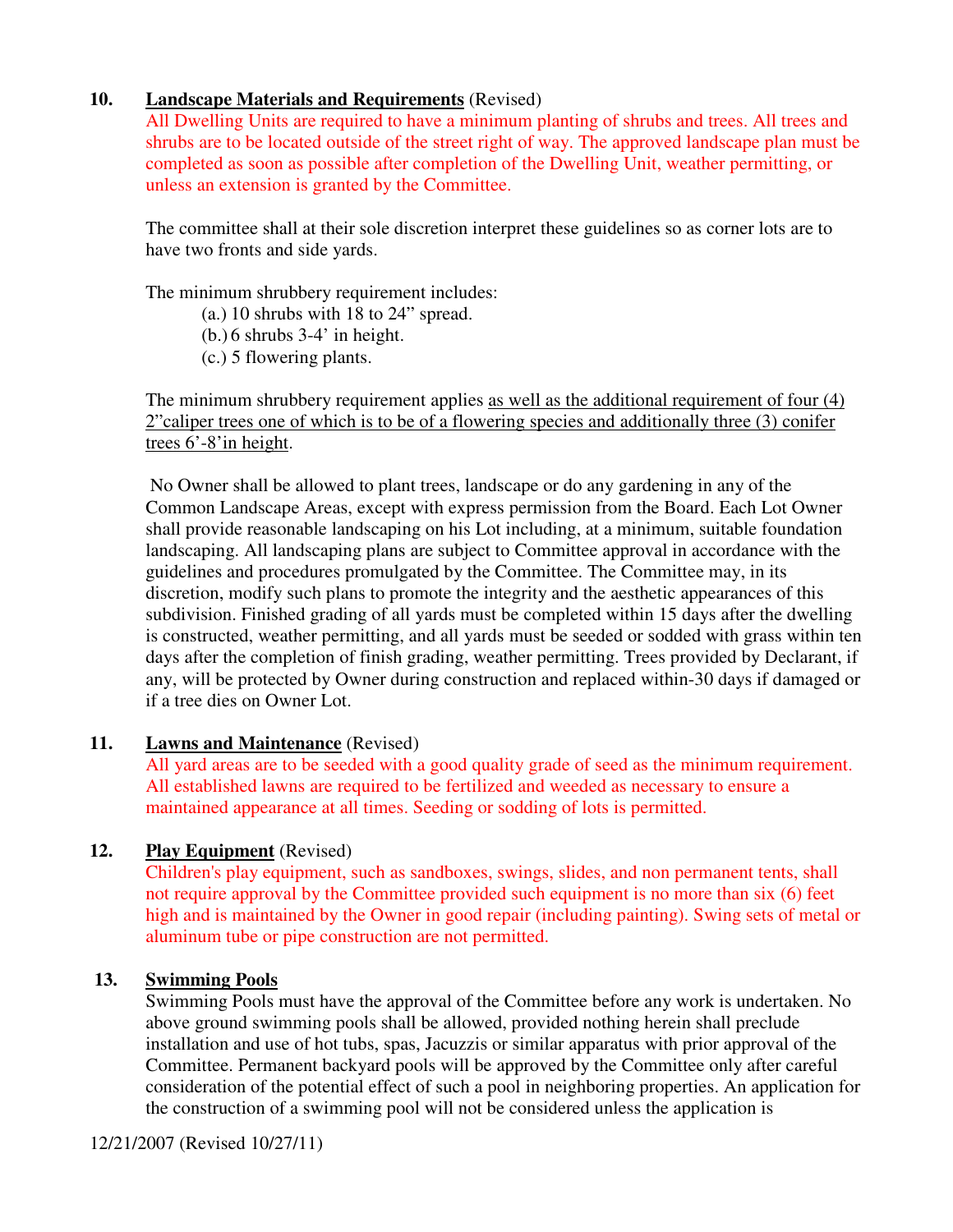#### **10. Landscape Materials and Requirements** (Revised)

All Dwelling Units are required to have a minimum planting of shrubs and trees. All trees and shrubs are to be located outside of the street right of way. The approved landscape plan must be completed as soon as possible after completion of the Dwelling Unit, weather permitting, or unless an extension is granted by the Committee.

The committee shall at their sole discretion interpret these guidelines so as corner lots are to have two fronts and side yards.

The minimum shrubbery requirement includes:

(a.) 10 shrubs with 18 to 24" spread.

 $(b.) 6$  shrubs 3-4' in height.

(c.) 5 flowering plants.

The minimum shrubbery requirement applies as well as the additional requirement of four (4) 2"caliper trees one of which is to be of a flowering species and additionally three (3) conifer trees 6'-8'in height.

 No Owner shall be allowed to plant trees, landscape or do any gardening in any of the Common Landscape Areas, except with express permission from the Board. Each Lot Owner shall provide reasonable landscaping on his Lot including, at a minimum, suitable foundation landscaping. All landscaping plans are subject to Committee approval in accordance with the guidelines and procedures promulgated by the Committee. The Committee may, in its discretion, modify such plans to promote the integrity and the aesthetic appearances of this subdivision. Finished grading of all yards must be completed within 15 days after the dwelling is constructed, weather permitting, and all yards must be seeded or sodded with grass within ten days after the completion of finish grading, weather permitting. Trees provided by Declarant, if any, will be protected by Owner during construction and replaced within-30 days if damaged or if a tree dies on Owner Lot.

#### **11. Lawns and Maintenance** (Revised)

All yard areas are to be seeded with a good quality grade of seed as the minimum requirement. All established lawns are required to be fertilized and weeded as necessary to ensure a maintained appearance at all times. Seeding or sodding of lots is permitted.

#### **12. Play Equipment** (Revised)

Children's play equipment, such as sandboxes, swings, slides, and non permanent tents, shall not require approval by the Committee provided such equipment is no more than six (6) feet high and is maintained by the Owner in good repair (including painting). Swing sets of metal or aluminum tube or pipe construction are not permitted.

#### **13. Swimming Pools**

Swimming Pools must have the approval of the Committee before any work is undertaken. No above ground swimming pools shall be allowed, provided nothing herein shall preclude installation and use of hot tubs, spas, Jacuzzis or similar apparatus with prior approval of the Committee. Permanent backyard pools will be approved by the Committee only after careful consideration of the potential effect of such a pool in neighboring properties. An application for the construction of a swimming pool will not be considered unless the application is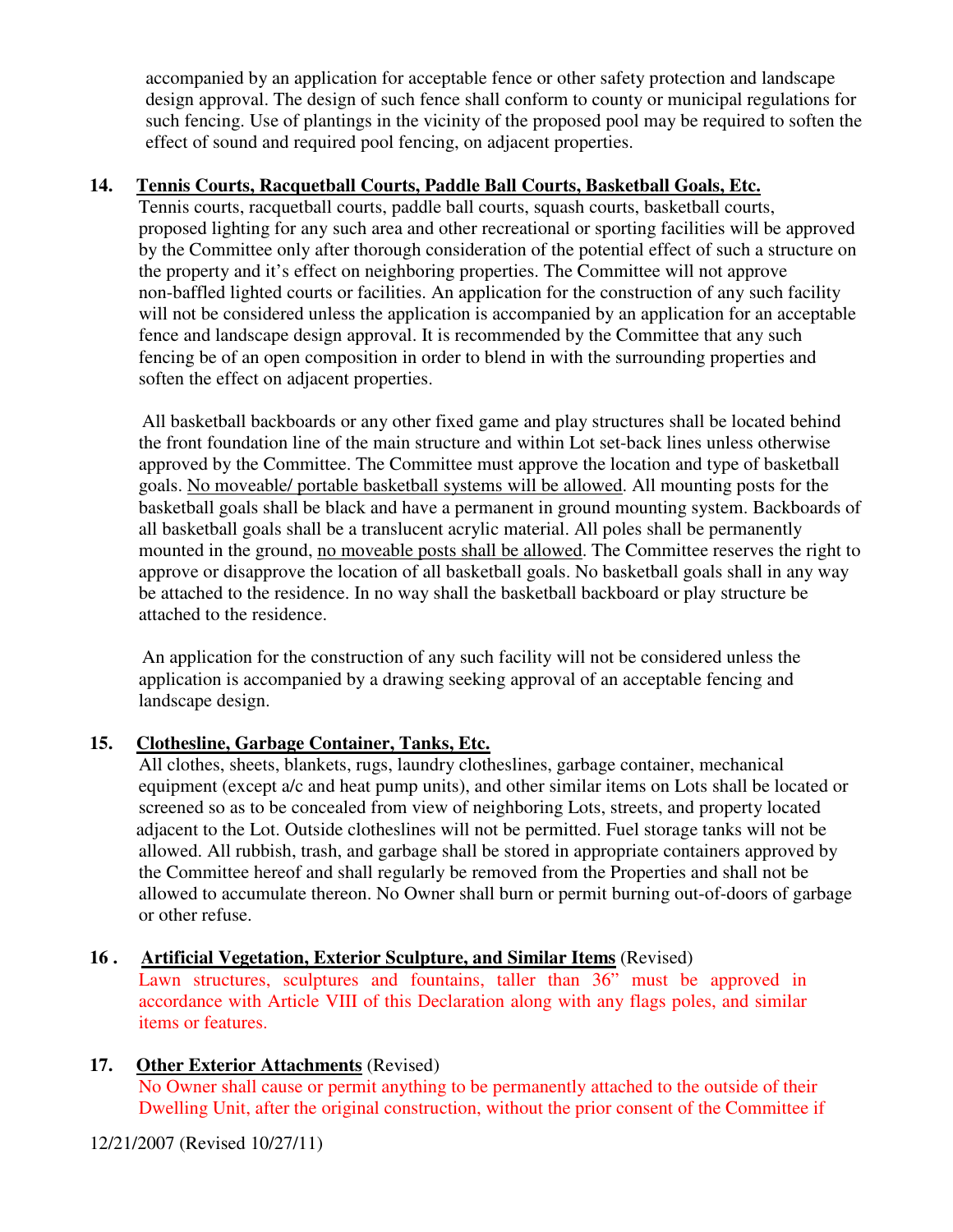accompanied by an application for acceptable fence or other safety protection and landscape design approval. The design of such fence shall conform to county or municipal regulations for such fencing. Use of plantings in the vicinity of the proposed pool may be required to soften the effect of sound and required pool fencing, on adjacent properties.

#### **14. Tennis Courts, Racquetball Courts, Paddle Ball Courts, Basketball Goals, Etc.**

Tennis courts, racquetball courts, paddle ball courts, squash courts, basketball courts, proposed lighting for any such area and other recreational or sporting facilities will be approved by the Committee only after thorough consideration of the potential effect of such a structure on the property and it's effect on neighboring properties. The Committee will not approve non-baffled lighted courts or facilities. An application for the construction of any such facility will not be considered unless the application is accompanied by an application for an acceptable fence and landscape design approval. It is recommended by the Committee that any such fencing be of an open composition in order to blend in with the surrounding properties and soften the effect on adjacent properties.

All basketball backboards or any other fixed game and play structures shall be located behind the front foundation line of the main structure and within Lot set-back lines unless otherwise approved by the Committee. The Committee must approve the location and type of basketball goals. No moveable/ portable basketball systems will be allowed. All mounting posts for the basketball goals shall be black and have a permanent in ground mounting system. Backboards of all basketball goals shall be a translucent acrylic material. All poles shall be permanently mounted in the ground, no moveable posts shall be allowed. The Committee reserves the right to approve or disapprove the location of all basketball goals. No basketball goals shall in any way be attached to the residence. In no way shall the basketball backboard or play structure be attached to the residence.

An application for the construction of any such facility will not be considered unless the application is accompanied by a drawing seeking approval of an acceptable fencing and landscape design.

#### **15. Clothesline, Garbage Container, Tanks, Etc.**

All clothes, sheets, blankets, rugs, laundry clotheslines, garbage container, mechanical equipment (except a/c and heat pump units), and other similar items on Lots shall be located or screened so as to be concealed from view of neighboring Lots, streets, and property located adjacent to the Lot. Outside clotheslines will not be permitted. Fuel storage tanks will not be allowed. All rubbish, trash, and garbage shall be stored in appropriate containers approved by the Committee hereof and shall regularly be removed from the Properties and shall not be allowed to accumulate thereon. No Owner shall burn or permit burning out-of-doors of garbage or other refuse.

**16 . Artificial Vegetation, Exterior Sculpture, and Similar Items** (Revised)

Lawn structures, sculptures and fountains, taller than 36" must be approved in accordance with Article VIII of this Declaration along with any flags poles, and similar items or features.

**17. Other Exterior Attachments** (Revised)

No Owner shall cause or permit anything to be permanently attached to the outside of their Dwelling Unit, after the original construction, without the prior consent of the Committee if

12/21/2007 (Revised 10/27/11)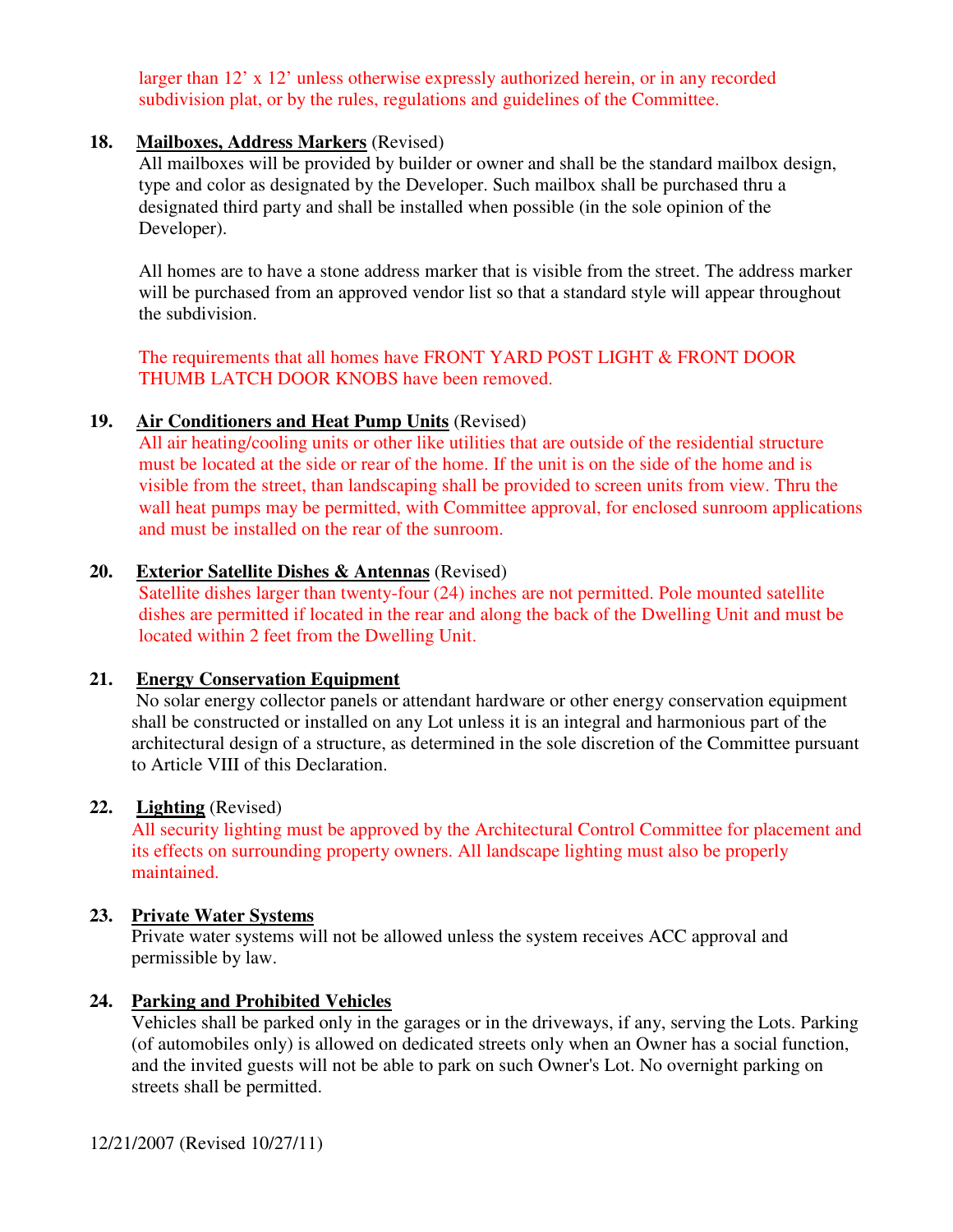larger than 12' x 12' unless otherwise expressly authorized herein, or in any recorded subdivision plat, or by the rules, regulations and guidelines of the Committee.

#### **18. Mailboxes, Address Markers** (Revised)

All mailboxes will be provided by builder or owner and shall be the standard mailbox design, type and color as designated by the Developer. Such mailbox shall be purchased thru a designated third party and shall be installed when possible (in the sole opinion of the Developer).

All homes are to have a stone address marker that is visible from the street. The address marker will be purchased from an approved vendor list so that a standard style will appear throughout the subdivision.

The requirements that all homes have FRONT YARD POST LIGHT & FRONT DOOR THUMB LATCH DOOR KNOBS have been removed.

#### **19. Air Conditioners and Heat Pump Units** (Revised)

All air heating/cooling units or other like utilities that are outside of the residential structure must be located at the side or rear of the home. If the unit is on the side of the home and is visible from the street, than landscaping shall be provided to screen units from view. Thru the wall heat pumps may be permitted, with Committee approval, for enclosed sunroom applications and must be installed on the rear of the sunroom.

#### **20. Exterior Satellite Dishes & Antennas** (Revised)

Satellite dishes larger than twenty-four (24) inches are not permitted. Pole mounted satellite dishes are permitted if located in the rear and along the back of the Dwelling Unit and must be located within 2 feet from the Dwelling Unit.

#### **21. Energy Conservation Equipment**

 No solar energy collector panels or attendant hardware or other energy conservation equipment shall be constructed or installed on any Lot unless it is an integral and harmonious part of the architectural design of a structure, as determined in the sole discretion of the Committee pursuant to Article VIII of this Declaration.

#### **22. Lighting** (Revised)

All security lighting must be approved by the Architectural Control Committee for placement and its effects on surrounding property owners. All landscape lighting must also be properly maintained.

#### **23. Private Water Systems**

Private water systems will not be allowed unless the system receives ACC approval and permissible by law.

#### **24. Parking and Prohibited Vehicles**

Vehicles shall be parked only in the garages or in the driveways, if any, serving the Lots. Parking (of automobiles only) is allowed on dedicated streets only when an Owner has a social function, and the invited guests will not be able to park on such Owner's Lot. No overnight parking on streets shall be permitted.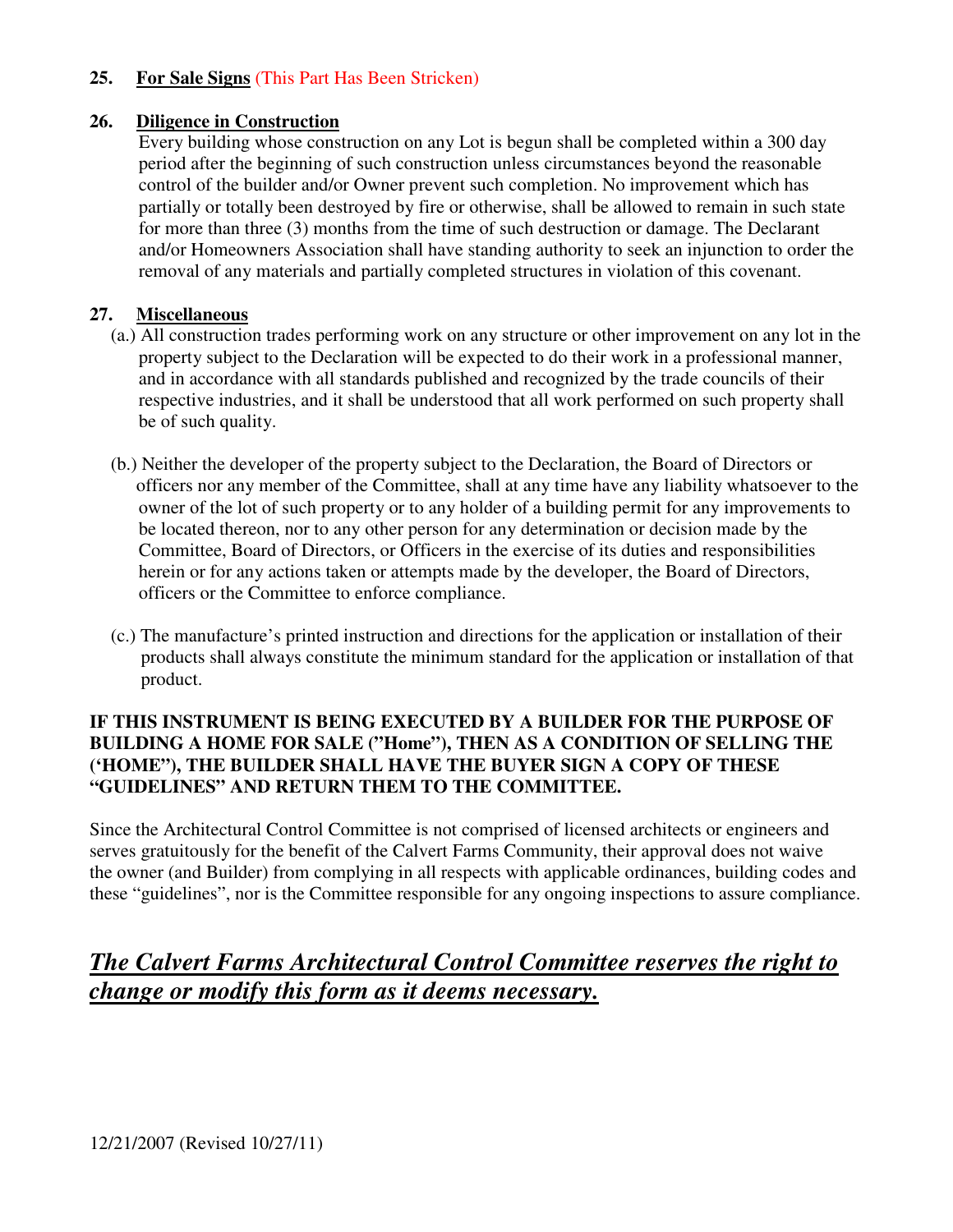#### **25. For Sale Signs** (This Part Has Been Stricken)

#### **26. Diligence in Construction**

Every building whose construction on any Lot is begun shall be completed within a 300 day period after the beginning of such construction unless circumstances beyond the reasonable control of the builder and/or Owner prevent such completion. No improvement which has partially or totally been destroyed by fire or otherwise, shall be allowed to remain in such state for more than three (3) months from the time of such destruction or damage. The Declarant and/or Homeowners Association shall have standing authority to seek an injunction to order the removal of any materials and partially completed structures in violation of this covenant.

#### **27. Miscellaneous**

- (a.) All construction trades performing work on any structure or other improvement on any lot in the property subject to the Declaration will be expected to do their work in a professional manner, and in accordance with all standards published and recognized by the trade councils of their respective industries, and it shall be understood that all work performed on such property shall be of such quality.
- (b.) Neither the developer of the property subject to the Declaration, the Board of Directors or officers nor any member of the Committee, shall at any time have any liability whatsoever to the owner of the lot of such property or to any holder of a building permit for any improvements to be located thereon, nor to any other person for any determination or decision made by the Committee, Board of Directors, or Officers in the exercise of its duties and responsibilities herein or for any actions taken or attempts made by the developer, the Board of Directors, officers or the Committee to enforce compliance.
- (c.) The manufacture's printed instruction and directions for the application or installation of their products shall always constitute the minimum standard for the application or installation of that product.

#### **IF THIS INSTRUMENT IS BEING EXECUTED BY A BUILDER FOR THE PURPOSE OF BUILDING A HOME FOR SALE ("Home"), THEN AS A CONDITION OF SELLING THE ('HOME"), THE BUILDER SHALL HAVE THE BUYER SIGN A COPY OF THESE "GUIDELINES" AND RETURN THEM TO THE COMMITTEE.**

Since the Architectural Control Committee is not comprised of licensed architects or engineers and serves gratuitously for the benefit of the Calvert Farms Community, their approval does not waive the owner (and Builder) from complying in all respects with applicable ordinances, building codes and these "guidelines", nor is the Committee responsible for any ongoing inspections to assure compliance.

### *The Calvert Farms Architectural Control Committee reserves the right to change or modify this form as it deems necessary.*